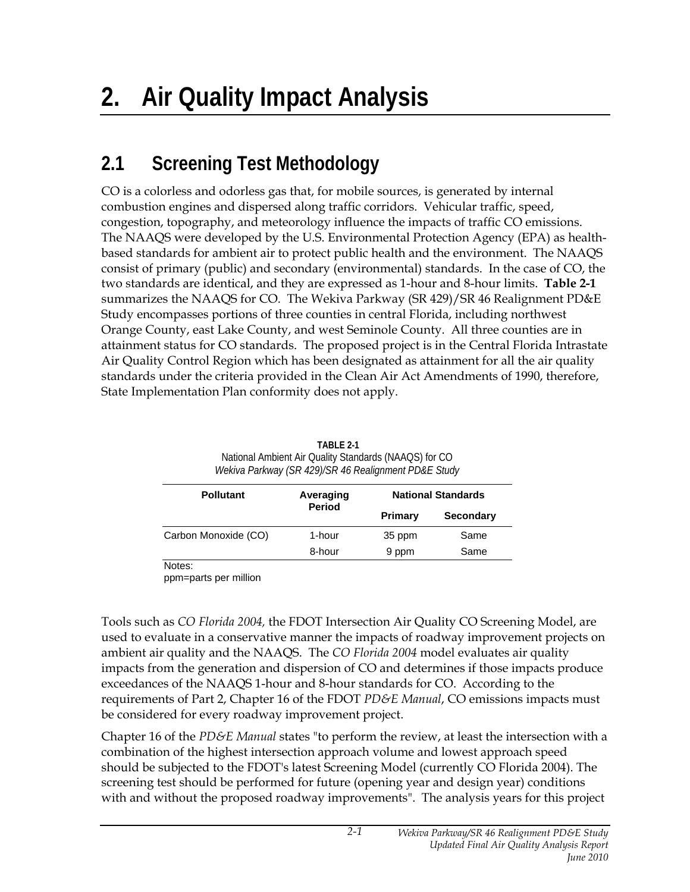## **2.1 Screening Test Methodology**

CO is a colorless and odorless gas that, for mobile sources, is generated by internal combustion engines and dispersed along traffic corridors. Vehicular traffic, speed, congestion, topography, and meteorology influence the impacts of traffic CO emissions. The NAAQS were developed by the U.S. Environmental Protection Agency (EPA) as healthbased standards for ambient air to protect public health and the environment. The NAAQS consist of primary (public) and secondary (environmental) standards. In the case of CO, the two standards are identical, and they are expressed as 1-hour and 8-hour limits. **Table 2-1** summarizes the NAAQS for CO. The Wekiva Parkway (SR 429)/SR 46 Realignment PD&E Study encompasses portions of three counties in central Florida, including northwest Orange County, east Lake County, and west Seminole County. All three counties are in attainment status for CO standards. The proposed project is in the Central Florida Intrastate Air Quality Control Region which has been designated as attainment for all the air quality standards under the criteria provided in the Clean Air Act Amendments of 1990, therefore, State Implementation Plan conformity does not apply.

| Wekiva Parkway (SR 429)/SR 46 Realignment PD&E Study |                            |                           |                  |  |  |  |
|------------------------------------------------------|----------------------------|---------------------------|------------------|--|--|--|
| <b>Pollutant</b>                                     | Averaging<br><b>Period</b> | <b>National Standards</b> |                  |  |  |  |
|                                                      |                            | <b>Primary</b>            | <b>Secondary</b> |  |  |  |
| Carbon Monoxide (CO)                                 | 1-hour                     | 35 ppm                    | Same             |  |  |  |
|                                                      | 8-hour                     | 9 ppm                     | Same             |  |  |  |

 **TABLE 2-1**  National Ambient Air Quality Standards (NAAQS) for CO

Notes:

ppm=parts per million

Tools such as *CO Florida 2004,* the FDOT Intersection Air Quality CO Screening Model, are used to evaluate in a conservative manner the impacts of roadway improvement projects on ambient air quality and the NAAQS. The *CO Florida 2004* model evaluates air quality impacts from the generation and dispersion of CO and determines if those impacts produce exceedances of the NAAQS 1-hour and 8-hour standards for CO. According to the requirements of Part 2, Chapter 16 of the FDOT *PD&E Manual*, CO emissions impacts must be considered for every roadway improvement project.

Chapter 16 of the *PD&E Manual* states "to perform the review, at least the intersection with a combination of the highest intersection approach volume and lowest approach speed should be subjected to the FDOT's latest Screening Model (currently CO Florida 2004). The screening test should be performed for future (opening year and design year) conditions with and without the proposed roadway improvements". The analysis years for this project

*2-1*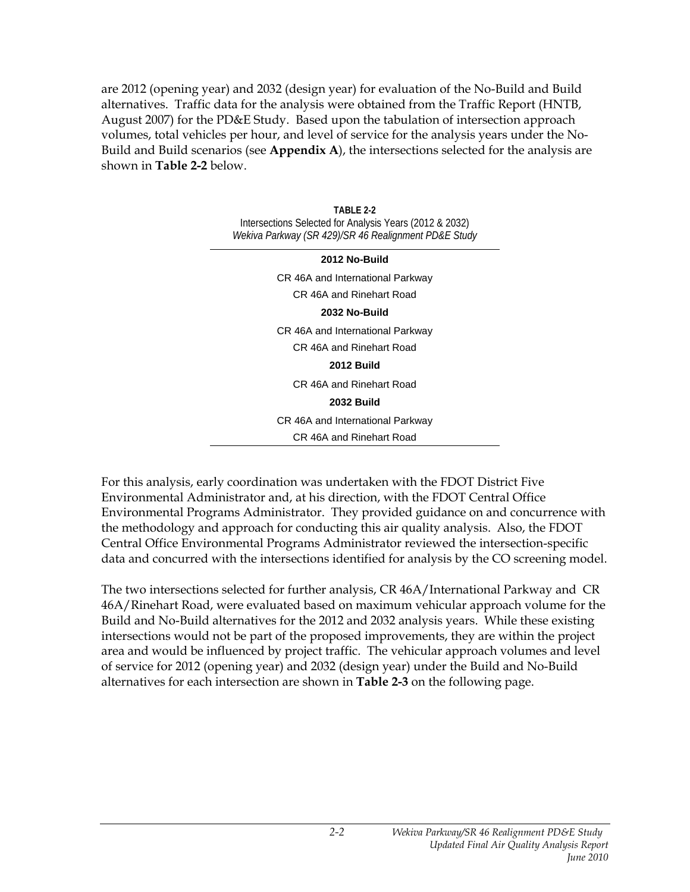are 2012 (opening year) and 2032 (design year) for evaluation of the No-Build and Build alternatives. Traffic data for the analysis were obtained from the Traffic Report (HNTB, August 2007) for the PD&E Study. Based upon the tabulation of intersection approach volumes, total vehicles per hour, and level of service for the analysis years under the No-Build and Build scenarios (see **Appendix A**), the intersections selected for the analysis are shown in **Table 2-2** below.

> **TABLE 2-2**  Intersections Selected for Analysis Years (2012 & 2032) *Wekiva Parkway (SR 429)/SR 46 Realignment PD&E Study*

**2012 No-Build**  CR 46A and International Parkway CR 46A and Rinehart Road **2032 No-Build**  CR 46A and International Parkway CR 46A and Rinehart Road **2012 Build**  CR 46A and Rinehart Road **2032 Build**  CR 46A and International Parkway CR 46A and Rinehart Road

For this analysis, early coordination was undertaken with the FDOT District Five Environmental Administrator and, at his direction, with the FDOT Central Office Environmental Programs Administrator. They provided guidance on and concurrence with the methodology and approach for conducting this air quality analysis. Also, the FDOT Central Office Environmental Programs Administrator reviewed the intersection-specific data and concurred with the intersections identified for analysis by the CO screening model.

The two intersections selected for further analysis, CR 46A/International Parkway and CR 46A/Rinehart Road, were evaluated based on maximum vehicular approach volume for the Build and No-Build alternatives for the 2012 and 2032 analysis years. While these existing intersections would not be part of the proposed improvements, they are within the project area and would be influenced by project traffic. The vehicular approach volumes and level of service for 2012 (opening year) and 2032 (design year) under the Build and No-Build alternatives for each intersection are shown in **Table 2-3** on the following page.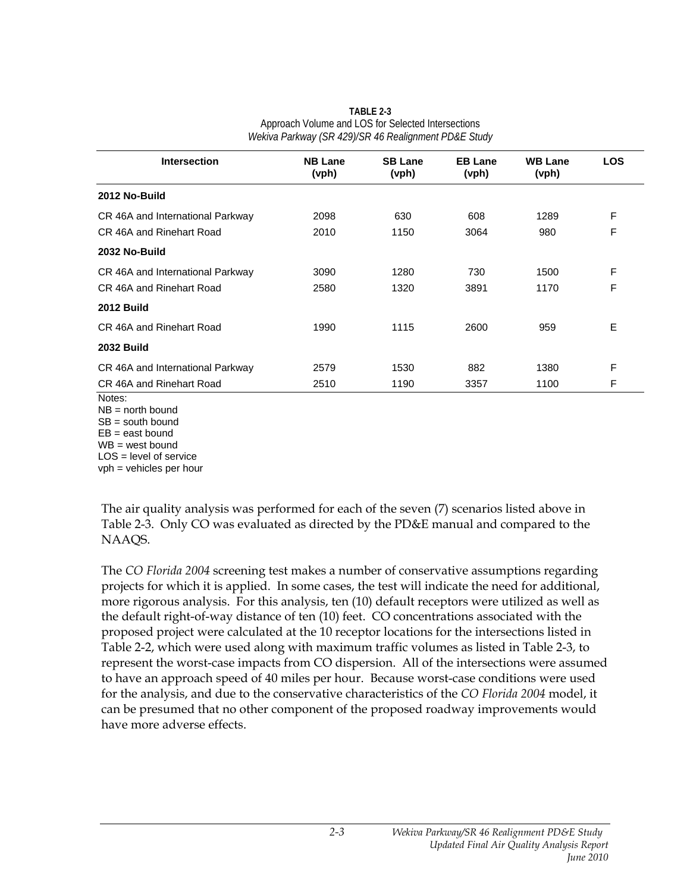| Intersection                     | <b>NB Lane</b><br>(vph) | <b>SB Lane</b><br>(vph) | <b>EB Lane</b><br>(vph) | <b>WB Lane</b><br>(vph) | <b>LOS</b> |
|----------------------------------|-------------------------|-------------------------|-------------------------|-------------------------|------------|
| 2012 No-Build                    |                         |                         |                         |                         |            |
| CR 46A and International Parkway | 2098                    | 630                     | 608                     | 1289                    | F          |
| CR 46A and Rinehart Road         | 2010                    | 1150                    | 3064                    | 980                     | F          |
| 2032 No-Build                    |                         |                         |                         |                         |            |
| CR 46A and International Parkway | 3090                    | 1280                    | 730                     | 1500                    | F          |
| CR 46A and Rinehart Road         | 2580                    | 1320                    | 3891                    | 1170                    | F          |
| <b>2012 Build</b>                |                         |                         |                         |                         |            |
| CR 46A and Rinehart Road         | 1990                    | 1115                    | 2600                    | 959                     | E          |
| <b>2032 Build</b>                |                         |                         |                         |                         |            |
| CR 46A and International Parkway | 2579                    | 1530                    | 882                     | 1380                    | F          |
| CR 46A and Rinehart Road         | 2510                    | 1190                    | 3357                    | 1100                    | F          |

**TABLE 2-3**  Approach Volume and LOS for Selected Intersections *Wekiva Parkway (SR 429)/SR 46 Realignment PD&E Study* 

Notes:

NB = north bound  $SB =$  south bound

 $EB = east$  bound

WB = west bound

LOS = level of service

vph = vehicles per hour

The air quality analysis was performed for each of the seven (7) scenarios listed above in Table 2-3. Only CO was evaluated as directed by the PD&E manual and compared to the NAAQS.

The *CO Florida 2004* screening test makes a number of conservative assumptions regarding projects for which it is applied. In some cases, the test will indicate the need for additional, more rigorous analysis. For this analysis, ten (10) default receptors were utilized as well as the default right-of-way distance of ten (10) feet. CO concentrations associated with the proposed project were calculated at the 10 receptor locations for the intersections listed in Table 2-2, which were used along with maximum traffic volumes as listed in Table 2-3, to represent the worst-case impacts from CO dispersion. All of the intersections were assumed to have an approach speed of 40 miles per hour. Because worst-case conditions were used for the analysis, and due to the conservative characteristics of the *CO Florida 2004* model, it can be presumed that no other component of the proposed roadway improvements would have more adverse effects.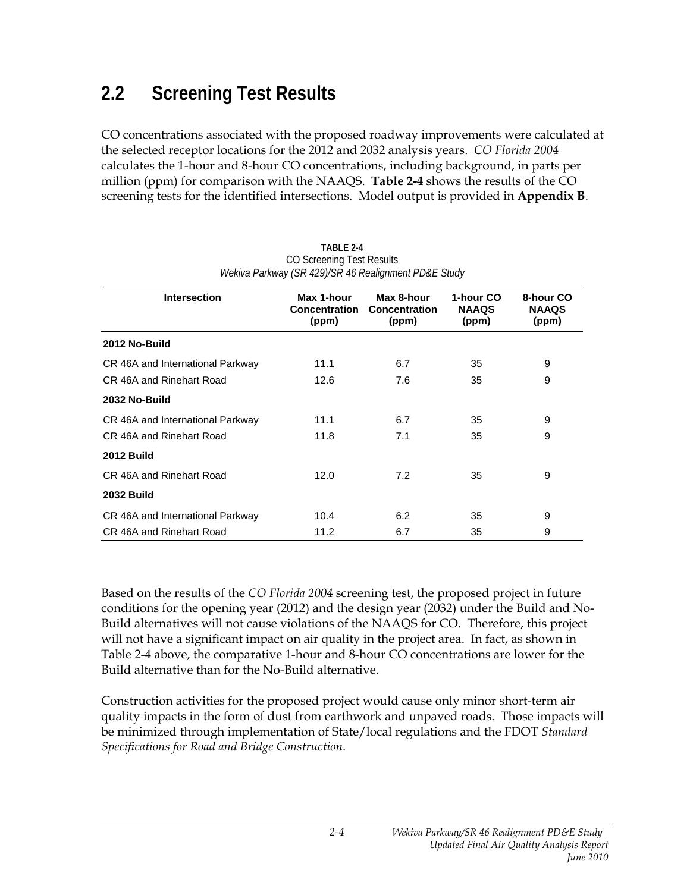## **2.2 Screening Test Results**

CO concentrations associated with the proposed roadway improvements were calculated at the selected receptor locations for the 2012 and 2032 analysis years. *CO Florida 2004* calculates the 1-hour and 8-hour CO concentrations, including background, in parts per million (ppm) for comparison with the NAAQS. **Table 2-4** shows the results of the CO screening tests for the identified intersections. Model output is provided in **Appendix B**.

| <b>Intersection</b>              | Max 1-hour<br><b>Concentration</b><br>(ppm) | Max 8-hour<br>Concentration<br>(ppm) | 1-hour CO<br><b>NAAQS</b><br>(ppm) | 8-hour CO<br><b>NAAQS</b><br>(ppm) |
|----------------------------------|---------------------------------------------|--------------------------------------|------------------------------------|------------------------------------|
| 2012 No-Build                    |                                             |                                      |                                    |                                    |
| CR 46A and International Parkway | 11.1                                        | 6.7                                  | 35                                 | 9                                  |
| CR 46A and Rinehart Road         | 12.6                                        | 7.6                                  | 35                                 | 9                                  |
| 2032 No-Build                    |                                             |                                      |                                    |                                    |
| CR 46A and International Parkway | 11.1                                        | 6.7                                  | 35                                 | 9                                  |
| CR 46A and Rinehart Road         | 11.8                                        | 7.1                                  | 35                                 | 9                                  |
| <b>2012 Build</b>                |                                             |                                      |                                    |                                    |
| CR 46A and Rinehart Road         | 12.0                                        | 7.2                                  | 35                                 | 9                                  |
| <b>2032 Build</b>                |                                             |                                      |                                    |                                    |
| CR 46A and International Parkway | 10.4                                        | 6.2                                  | 35                                 | 9                                  |
| CR 46A and Rinehart Road         | 11.2                                        | 6.7                                  | 35                                 | 9                                  |

| TABLE 2-4                                            |
|------------------------------------------------------|
| CO Screening Test Results                            |
| Wekiva Parkway (SR 429)/SR 46 Realignment PD&E Study |

Based on the results of the *CO Florida 2004* screening test, the proposed project in future conditions for the opening year (2012) and the design year (2032) under the Build and No-Build alternatives will not cause violations of the NAAQS for CO. Therefore, this project will not have a significant impact on air quality in the project area. In fact, as shown in Table 2-4 above, the comparative 1-hour and 8-hour CO concentrations are lower for the Build alternative than for the No-Build alternative.

Construction activities for the proposed project would cause only minor short-term air quality impacts in the form of dust from earthwork and unpaved roads. Those impacts will be minimized through implementation of State/local regulations and the FDOT *Standard Specifications for Road and Bridge Construction*.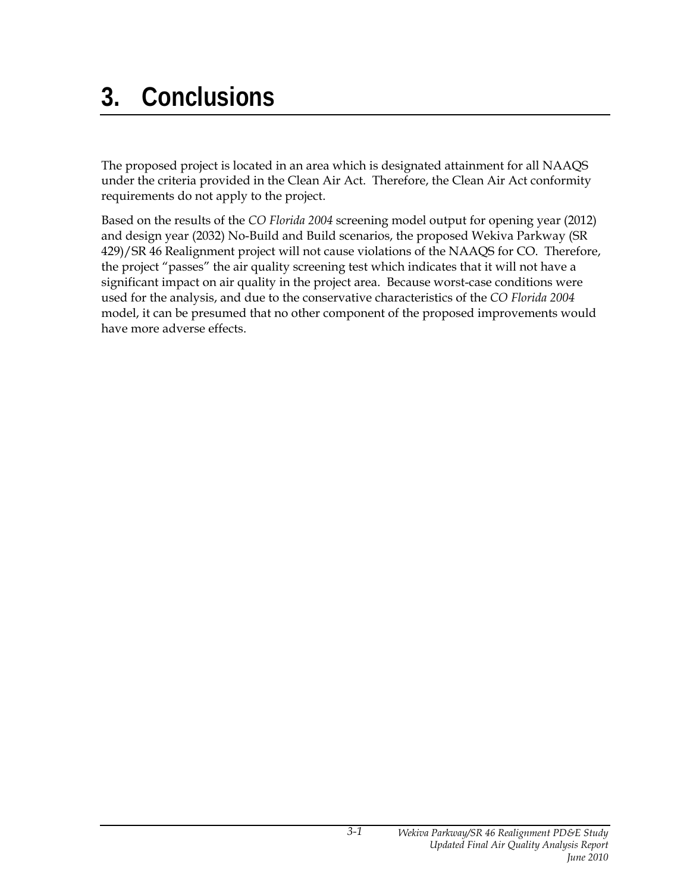## **3. Conclusions**

The proposed project is located in an area which is designated attainment for all NAAQS under the criteria provided in the Clean Air Act. Therefore, the Clean Air Act conformity requirements do not apply to the project.

Based on the results of the *CO Florida 2004* screening model output for opening year (2012) and design year (2032) No-Build and Build scenarios, the proposed Wekiva Parkway (SR 429)/SR 46 Realignment project will not cause violations of the NAAQS for CO. Therefore, the project "passes" the air quality screening test which indicates that it will not have a significant impact on air quality in the project area. Because worst-case conditions were used for the analysis, and due to the conservative characteristics of the *CO Florida 2004* model, it can be presumed that no other component of the proposed improvements would have more adverse effects.